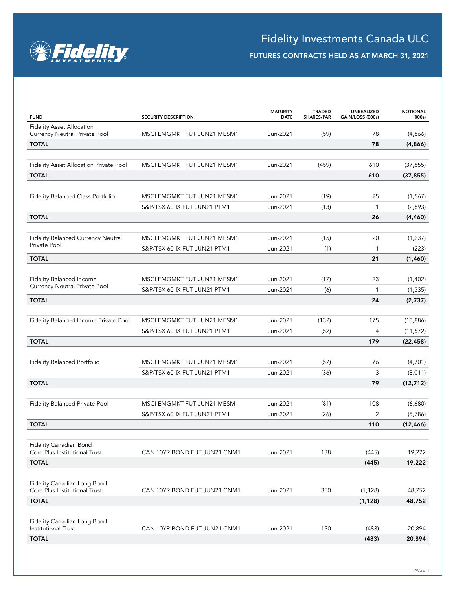

## FUTURES CONTRACTS HELD AS AT MARCH 31, 2021

| <b>FUND</b>                                                       | <b>SECURITY DESCRIPTION</b>  | <b>MATURITY</b><br><b>DATE</b> | <b>TRADED</b><br>SHARES/PAR | UNREALIZED<br>GAIN/LOSS (000s) | <b>NOTIONAL</b><br>(000s) |
|-------------------------------------------------------------------|------------------------------|--------------------------------|-----------------------------|--------------------------------|---------------------------|
| <b>Fidelity Asset Allocation</b><br>Currency Neutral Private Pool | MSCI EMGMKT FUT JUN21 MESM1  | Jun-2021                       | (59)                        | 78                             | (4,866)                   |
| <b>TOTAL</b>                                                      |                              |                                |                             | 78                             | (4,866)                   |
|                                                                   |                              |                                |                             |                                |                           |
| Fidelity Asset Allocation Private Pool                            | MSCI EMGMKT FUT JUN21 MESM1  | Jun-2021                       | (459)                       | 610                            | (37, 855)                 |
| <b>TOTAL</b>                                                      |                              |                                |                             | 610                            | (37, 855)                 |
|                                                                   |                              |                                |                             |                                |                           |
| Fidelity Balanced Class Portfolio                                 | MSCI EMGMKT FUT JUN21 MESM1  | Jun-2021                       | (19)                        | 25                             | (1, 567)                  |
|                                                                   | S&P/TSX 60 IX FUT JUN21 PTM1 | Jun-2021                       | (13)                        | 1                              | (2,893)                   |
| <b>TOTAL</b>                                                      |                              |                                |                             | 26                             | (4, 460)                  |
|                                                                   |                              |                                |                             |                                |                           |
| <b>Fidelity Balanced Currency Neutral</b>                         | MSCI EMGMKT FUT JUN21 MESM1  | Jun-2021                       | (15)                        | 20                             | (1, 237)                  |
| Private Pool                                                      | S&P/TSX 60 IX FUT JUN21 PTM1 | Jun-2021                       | (1)                         | 1                              | (223)                     |
| <b>TOTAL</b>                                                      |                              |                                |                             | 21                             | (1,460)                   |
|                                                                   |                              |                                |                             |                                |                           |
| Fidelity Balanced Income                                          | MSCI EMGMKT FUT JUN21 MESM1  | Jun-2021                       | (17)                        | 23                             | (1,402)                   |
| Currency Neutral Private Pool                                     | S&P/TSX 60 IX FUT JUN21 PTM1 | Jun-2021                       | (6)                         | $\mathbf{1}$                   | (1, 335)                  |
| <b>TOTAL</b>                                                      |                              |                                |                             | 24                             | (2,737)                   |
|                                                                   |                              |                                |                             |                                |                           |
| Fidelity Balanced Income Private Pool                             | MSCI EMGMKT FUT JUN21 MESM1  | Jun-2021                       | (132)                       | 175                            | (10, 886)                 |
|                                                                   | S&P/TSX 60 IX FUT JUN21 PTM1 | Jun-2021                       | (52)                        | 4                              | (11, 572)                 |
| <b>TOTAL</b>                                                      |                              |                                |                             | 179                            | (22, 458)                 |
|                                                                   |                              |                                |                             |                                |                           |
| Fidelity Balanced Portfolio                                       | MSCI EMGMKT FUT JUN21 MESM1  | Jun-2021                       | (57)                        | 76                             | (4,701)                   |
|                                                                   | S&P/TSX 60 IX FUT JUN21 PTM1 | Jun-2021                       | (36)                        | 3                              | (8,011)                   |
| <b>TOTAL</b>                                                      |                              |                                |                             | 79                             | (12, 712)                 |
|                                                                   |                              |                                |                             |                                |                           |
| Fidelity Balanced Private Pool                                    | MSCI EMGMKT FUT JUN21 MESM1  | Jun-2021                       | (81)                        | 108                            | (6,680)                   |
|                                                                   | S&P/TSX 60 IX FUT JUN21 PTM1 | Jun-2021                       | (26)                        | 2                              | (5,786)                   |
| <b>TOTAL</b>                                                      |                              |                                |                             | 110                            | (12, 466)                 |
|                                                                   |                              |                                |                             |                                |                           |
| Fidelity Canadian Bond<br>Core Plus Institutional Trust           | CAN 10YR BOND FUT JUN21 CNM1 | Jun-2021                       | 138                         | (445)                          | 19,222                    |
| <b>TOTAL</b>                                                      |                              |                                |                             | (445)                          | 19,222                    |
|                                                                   |                              |                                |                             |                                |                           |
| Fidelity Canadian Long Bond                                       |                              |                                |                             |                                |                           |
| Core Plus Institutional Trust                                     | CAN 10YR BOND FUT JUN21 CNM1 | Jun-2021                       | 350                         | (1, 128)                       | 48,752                    |
| <b>TOTAL</b>                                                      |                              |                                |                             | (1, 128)                       | 48,752                    |
| Fidelity Canadian Long Bond                                       |                              |                                |                             |                                |                           |
| <b>Institutional Trust</b>                                        | CAN 10YR BOND FUT JUN21 CNM1 | Jun-2021                       | 150                         | (483)                          | 20,894                    |
| <b>TOTAL</b>                                                      |                              |                                |                             | (483)                          | 20,894                    |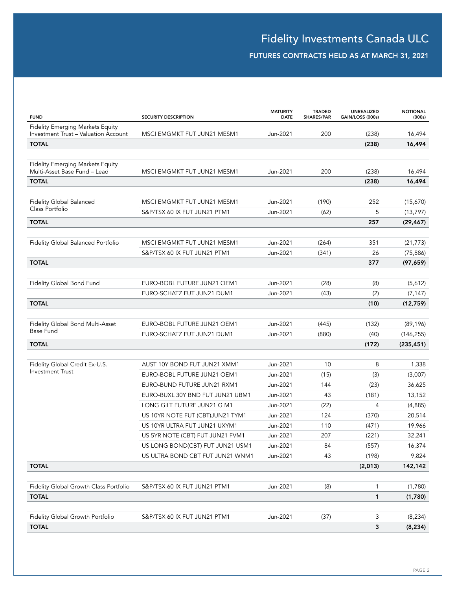## FUTURES CONTRACTS HELD AS AT MARCH 31, 2021

| <b>FUND</b>                                                                            | <b>SECURITY DESCRIPTION</b>      | <b>MATURITY</b><br><b>DATE</b> | <b>TRADED</b><br>SHARES/PAR | <b>UNREALIZED</b><br>GAIN/LOSS (000s) | <b>NOTIONAL</b><br>(000s) |
|----------------------------------------------------------------------------------------|----------------------------------|--------------------------------|-----------------------------|---------------------------------------|---------------------------|
| <b>Fidelity Emerging Markets Equity</b><br><b>Investment Trust - Valuation Account</b> | MSCI EMGMKT FUT JUN21 MESM1      | Jun-2021                       | 200                         | (238)                                 |                           |
| <b>TOTAL</b>                                                                           |                                  |                                |                             | (238)                                 | 16,494<br>16,494          |
|                                                                                        |                                  |                                |                             |                                       |                           |
| <b>Fidelity Emerging Markets Equity</b><br>Multi-Asset Base Fund - Lead                | MSCI EMGMKT FUT JUN21 MESM1      | Jun-2021                       | 200                         | (238)                                 | 16,494                    |
| <b>TOTAL</b>                                                                           |                                  |                                |                             | (238)                                 | 16,494                    |
|                                                                                        |                                  |                                |                             |                                       |                           |
| <b>Fidelity Global Balanced</b>                                                        | MSCI EMGMKT FUT JUN21 MESM1      | Jun-2021                       | (190)                       | 252                                   | (15,670)                  |
| Class Portfolio                                                                        | S&P/TSX 60 IX FUT JUN21 PTM1     | Jun-2021                       | (62)                        | 5                                     | (13, 797)                 |
| <b>TOTAL</b>                                                                           |                                  |                                |                             | 257                                   | (29, 467)                 |
|                                                                                        |                                  |                                |                             |                                       |                           |
| Fidelity Global Balanced Portfolio                                                     | MSCI EMGMKT FUT JUN21 MESM1      | Jun-2021                       | (264)                       | 351                                   | (21, 773)                 |
|                                                                                        | S&P/TSX 60 IX FUT JUN21 PTM1     | Jun-2021                       | (341)                       | 26                                    | (75, 886)                 |
| <b>TOTAL</b>                                                                           |                                  |                                |                             | 377                                   | (97, 659)                 |
|                                                                                        |                                  |                                |                             |                                       |                           |
| Fidelity Global Bond Fund                                                              | EURO-BOBL FUTURE JUN21 OEM1      | Jun-2021                       | (28)                        | (8)                                   | (5,612)                   |
|                                                                                        | EURO-SCHATZ FUT JUN21 DUM1       | Jun-2021                       | (43)                        | (2)                                   | (7, 147)                  |
| <b>TOTAL</b>                                                                           |                                  |                                |                             | (10)                                  | (12,759)                  |
|                                                                                        |                                  |                                |                             |                                       |                           |
| Fidelity Global Bond Multi-Asset                                                       | EURO-BOBL FUTURE JUN21 OEM1      | Jun-2021                       | (445)                       | (132)                                 | (89, 196)                 |
| Base Fund                                                                              | EURO-SCHATZ FUT JUN21 DUM1       | Jun-2021                       | (880)                       | (40)                                  | (146, 255)                |
| <b>TOTAL</b>                                                                           |                                  |                                |                             | (172)                                 | (235, 451)                |
|                                                                                        |                                  |                                |                             |                                       |                           |
| Fidelity Global Credit Ex-U.S.<br><b>Investment Trust</b>                              | AUST 10Y BOND FUT JUN21 XMM1     | Jun-2021                       | 10                          | 8                                     | 1,338                     |
|                                                                                        | EURO-BOBL FUTURE JUN21 OEM1      | Jun-2021                       | (15)                        | (3)                                   | (3,007)                   |
|                                                                                        | EURO-BUND FUTURE JUN21 RXM1      | Jun-2021                       | 144                         | (23)                                  | 36,625                    |
|                                                                                        | EURO-BUXL 30Y BND FUT JUN21 UBM1 | Jun-2021                       | 43                          | (181)                                 | 13,152                    |
|                                                                                        | LONG GILT FUTURE JUN21 G M1      | Jun-2021                       | (22)                        | 4                                     | (4,885)                   |
|                                                                                        | US 10YR NOTE FUT (CBT)JUN21 TYM1 | Jun-2021                       | 124                         | (370)                                 | 20,514                    |
|                                                                                        | US 10YR ULTRA FUT JUN21 UXYM1    | Jun-2021                       | 110                         | (471)                                 | 19,966                    |
|                                                                                        | US 5YR NOTE (CBT) FUT JUN21 FVM1 | Jun-2021                       | 207                         | (221)                                 | 32,241                    |
|                                                                                        | US LONG BOND(CBT) FUT JUN21 USM1 | Jun-2021                       | 84                          | (557)                                 | 16,374                    |
|                                                                                        | US ULTRA BOND CBT FUT JUN21 WNM1 | Jun-2021                       | 43                          | (198)                                 | 9,824                     |
| <b>TOTAL</b>                                                                           |                                  |                                |                             | (2,013)                               | 142,142                   |
|                                                                                        |                                  |                                |                             |                                       |                           |
| Fidelity Global Growth Class Portfolio                                                 | S&P/TSX 60 IX FUT JUN21 PTM1     | Jun-2021                       | (8)                         | 1                                     | (1,780)                   |
| <b>TOTAL</b>                                                                           |                                  |                                |                             | 1                                     | (1,780)                   |
|                                                                                        |                                  |                                |                             |                                       |                           |
| Fidelity Global Growth Portfolio                                                       | S&P/TSX 60 IX FUT JUN21 PTM1     | Jun-2021                       | (37)                        | 3                                     | (8, 234)                  |
| <b>TOTAL</b>                                                                           |                                  |                                |                             | 3                                     | (8, 234)                  |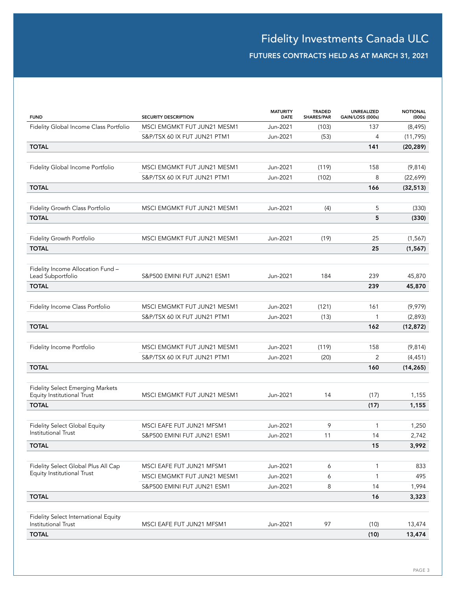## FUTURES CONTRACTS HELD AS AT MARCH 31, 2021

| <b>FUND</b>                                                           | <b>SECURITY DESCRIPTION</b>  | <b>MATURITY</b><br><b>DATE</b> | <b>TRADED</b><br>SHARES/PAR | UNREALIZED<br>GAIN/LOSS (000s) | <b>NOTIONAL</b><br>(000s) |
|-----------------------------------------------------------------------|------------------------------|--------------------------------|-----------------------------|--------------------------------|---------------------------|
| Fidelity Global Income Class Portfolio                                | MSCI EMGMKT FUT JUN21 MESM1  | Jun-2021                       | (103)                       | 137                            | (8, 495)                  |
|                                                                       | S&P/TSX 60 IX FUT JUN21 PTM1 | Jun-2021                       | (53)                        | $\overline{4}$                 | (11, 795)                 |
| <b>TOTAL</b>                                                          |                              |                                |                             | 141                            | (20, 289)                 |
|                                                                       |                              |                                |                             |                                |                           |
| Fidelity Global Income Portfolio                                      | MSCI EMGMKT FUT JUN21 MESM1  | Jun-2021                       | (119)                       | 158                            | (9,814)                   |
|                                                                       | S&P/TSX 60 IX FUT JUN21 PTM1 | Jun-2021                       | (102)                       | 8                              | (22,699)                  |
| <b>TOTAL</b>                                                          |                              |                                |                             | 166                            | (32, 513)                 |
|                                                                       | MSCI EMGMKT FUT JUN21 MESM1  | Jun-2021                       |                             | 5                              |                           |
| Fidelity Growth Class Portfolio                                       |                              |                                | (4)                         |                                | (330)                     |
| <b>TOTAL</b>                                                          |                              |                                |                             | 5                              | (330)                     |
| Fidelity Growth Portfolio                                             | MSCI EMGMKT FUT JUN21 MESM1  | Jun-2021                       | (19)                        | 25                             | (1, 567)                  |
| <b>TOTAL</b>                                                          |                              |                                |                             | 25                             | (1, 567)                  |
|                                                                       |                              |                                |                             |                                |                           |
| Fidelity Income Allocation Fund -                                     |                              |                                |                             |                                |                           |
| Lead Subportfolio                                                     | S&P500 EMINI FUT JUN21 ESM1  | Jun-2021                       | 184                         | 239                            | 45,870                    |
| <b>TOTAL</b>                                                          |                              |                                |                             | 239                            | 45,870                    |
| Fidelity Income Class Portfolio                                       | MSCI EMGMKT FUT JUN21 MESM1  | Jun-2021                       | (121)                       | 161                            | (9,979)                   |
|                                                                       | S&P/TSX 60 IX FUT JUN21 PTM1 | Jun-2021                       | (13)                        | $\mathbf{1}$                   | (2,893)                   |
| <b>TOTAL</b>                                                          |                              |                                |                             | 162                            | (12, 872)                 |
|                                                                       |                              |                                |                             |                                |                           |
| Fidelity Income Portfolio                                             | MSCI EMGMKT FUT JUN21 MESM1  | Jun-2021                       | (119)                       | 158                            | (9,814)                   |
|                                                                       | S&P/TSX 60 IX FUT JUN21 PTM1 | Jun-2021                       | (20)                        | 2                              | (4, 451)                  |
| <b>TOTAL</b>                                                          |                              |                                |                             | 160                            | (14, 265)                 |
|                                                                       |                              |                                |                             |                                |                           |
| <b>Fidelity Select Emerging Markets</b><br>Equity Institutional Trust | MSCI EMGMKT FUT JUN21 MESM1  | Jun-2021                       | 14                          | (17)                           | 1,155                     |
| <b>TOTAL</b>                                                          |                              |                                |                             | (17)                           | 1,155                     |
|                                                                       |                              |                                |                             |                                |                           |
| <b>Fidelity Select Global Equity</b><br><b>Institutional Trust</b>    | MSCI EAFE FUT JUN21 MFSM1    | Jun-2021                       | 9                           | 1                              | 1,250                     |
|                                                                       | S&P500 EMINI FUT JUN21 ESM1  | Jun-2021                       | 11                          | 14                             | 2,742                     |
| <b>TOTAL</b>                                                          |                              |                                |                             | 15                             | 3,992                     |
|                                                                       |                              |                                |                             |                                |                           |
| Fidelity Select Global Plus All Cap<br>Equity Institutional Trust     | MSCI EAFE FUT JUN21 MFSM1    | Jun-2021                       | 6                           | $\mathbf{1}$                   | 833                       |
|                                                                       | MSCI EMGMKT FUT JUN21 MESM1  | Jun-2021                       | 6                           | $\mathbf{1}$                   | 495                       |
|                                                                       | S&P500 EMINI FUT JUN21 ESM1  | Jun-2021                       | 8                           | 14                             | 1,994                     |
| <b>TOTAL</b>                                                          |                              |                                |                             | 16                             | 3,323                     |
|                                                                       |                              |                                |                             |                                |                           |
| Fidelity Select International Equity<br>Institutional Trust           | MSCI EAFE FUT JUN21 MFSM1    | Jun-2021                       | 97                          | (10)                           | 13,474                    |
| <b>TOTAL</b>                                                          |                              |                                |                             | (10)                           | 13,474                    |